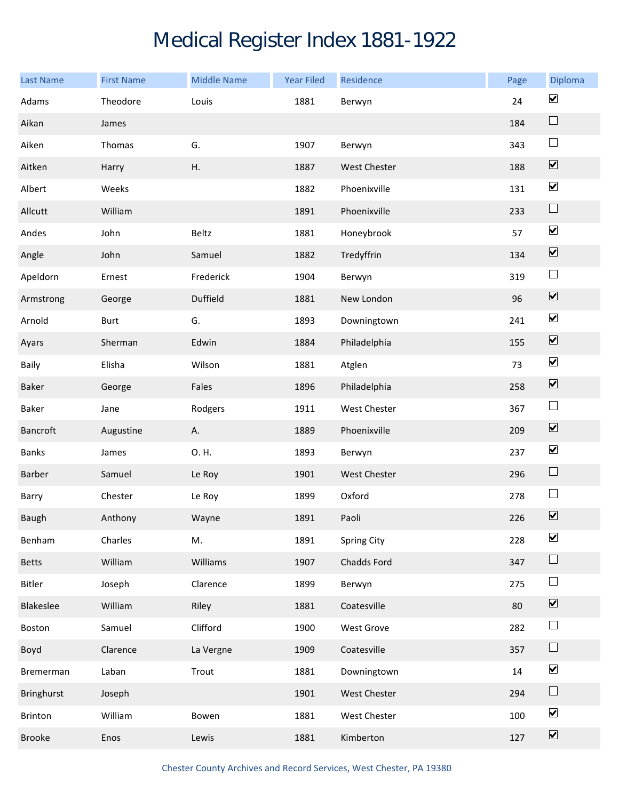## Medical Register Index 1881-1922

| <b>Last Name</b>  | <b>First Name</b> | <b>Middle Name</b> | <b>Year Filed</b> | Residence           | Page | Diploma                      |
|-------------------|-------------------|--------------------|-------------------|---------------------|------|------------------------------|
| Adams             | Theodore          | Louis              | 1881              | Berwyn              | 24   | $\blacktriangledown$         |
| Aikan             | James             |                    |                   |                     | 184  | $\Box$                       |
| Aiken             | Thomas            | G.                 | 1907              | Berwyn              | 343  | $\sqcup$                     |
| Aitken            | Harry             | Η.                 | 1887              | <b>West Chester</b> | 188  | $\boxed{\blacktriangledown}$ |
| Albert            | Weeks             |                    | 1882              | Phoenixville        | 131  | $\blacktriangledown$         |
| Allcutt           | William           |                    | 1891              | Phoenixville        | 233  | $\sqcup$                     |
| Andes             | John              | Beltz              | 1881              | Honeybrook          | 57   | $\blacktriangledown$         |
| Angle             | John              | Samuel             | 1882              | Tredyffrin          | 134  | $\boxed{\blacktriangledown}$ |
| Apeldorn          | Ernest            | Frederick          | 1904              | Berwyn              | 319  | $\Box$                       |
| Armstrong         | George            | Duffield           | 1881              | New London          | 96   | $\boxed{\blacktriangledown}$ |
| Arnold            | <b>Burt</b>       | G.                 | 1893              | Downingtown         | 241  | $\blacktriangledown$         |
| Ayars             | Sherman           | Edwin              | 1884              | Philadelphia        | 155  | $\boxed{\blacktriangledown}$ |
| Baily             | Elisha            | Wilson             | 1881              | Atglen              | 73   | $\blacktriangledown$         |
| Baker             | George            | Fales              | 1896              | Philadelphia        | 258  | $\overline{\mathbf{v}}$      |
| Baker             | Jane              | Rodgers            | 1911              | <b>West Chester</b> | 367  | $\Box$                       |
| Bancroft          | Augustine         | А.                 | 1889              | Phoenixville        | 209  | $\boxed{\blacktriangledown}$ |
| <b>Banks</b>      | James             | O. H.              | 1893              | Berwyn              | 237  | $\blacktriangledown$         |
| Barber            | Samuel            | Le Roy             | 1901              | <b>West Chester</b> | 296  | $\Box$                       |
| Barry             | Chester           | Le Roy             | 1899              | Oxford              | 278  | $\Box$                       |
| Baugh             | Anthony           | Wayne              | 1891              | Paoli               | 226  | $\boxed{\blacktriangledown}$ |
| Benham            | Charles           | M.                 | 1891              | <b>Spring City</b>  | 228  | $\blacktriangledown$         |
| <b>Betts</b>      | William           | Williams           | 1907              | Chadds Ford         | 347  | $\Box$                       |
| Bitler            | Joseph            | Clarence           | 1899              | Berwyn              | 275  | $\Box$                       |
| Blakeslee         | William           | Riley              | 1881              | Coatesville         | 80   | $\overline{\mathbf{v}}$      |
| Boston            | Samuel            | Clifford           | 1900              | West Grove          | 282  | $\Box$                       |
| Boyd              | Clarence          | La Vergne          | 1909              | Coatesville         | 357  | $\sqcup$                     |
| Bremerman         | Laban             | Trout              | 1881              | Downingtown         | 14   | $\blacktriangledown$         |
| <b>Bringhurst</b> | Joseph            |                    | 1901              | West Chester        | 294  | $\Box$                       |
| Brinton           | William           | Bowen              | 1881              | West Chester        | 100  | $\blacktriangledown$         |
| <b>Brooke</b>     | Enos              | Lewis              | 1881              | Kimberton           | 127  | $\boxed{\blacktriangledown}$ |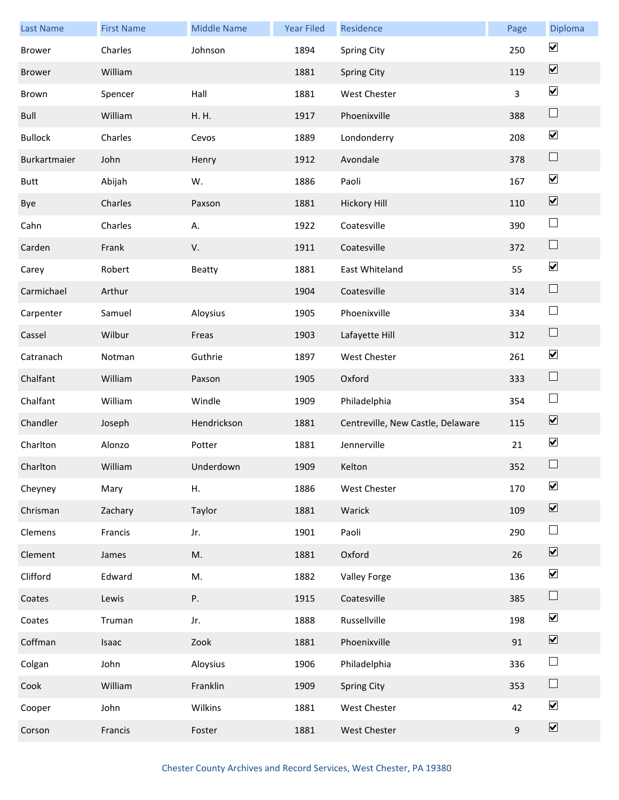| <b>Last Name</b> | <b>First Name</b> | <b>Middle Name</b> | <b>Year Filed</b> | Residence                         | Page | Diploma                      |
|------------------|-------------------|--------------------|-------------------|-----------------------------------|------|------------------------------|
| <b>Brower</b>    | Charles           | Johnson            | 1894              | <b>Spring City</b>                | 250  | $\blacktriangledown$         |
| <b>Brower</b>    | William           |                    | 1881              | <b>Spring City</b>                | 119  | $\boxed{\blacktriangledown}$ |
| Brown            | Spencer           | Hall               | 1881              | <b>West Chester</b>               | 3    | $\blacktriangledown$         |
| Bull             | William           | H. H.              | 1917              | Phoenixville                      | 388  | $\Box$                       |
| <b>Bullock</b>   | Charles           | Cevos              | 1889              | Londonderry                       | 208  | $\blacktriangledown$         |
| Burkartmaier     | John              | Henry              | 1912              | Avondale                          | 378  | $\Box$                       |
| <b>Butt</b>      | Abijah            | W.                 | 1886              | Paoli                             | 167  | $\blacktriangledown$         |
| Bye              | Charles           | Paxson             | 1881              | <b>Hickory Hill</b>               | 110  | $\boxed{\blacktriangledown}$ |
| Cahn             | Charles           | Α.                 | 1922              | Coatesville                       | 390  | $\Box$                       |
| Carden           | Frank             | V.                 | 1911              | Coatesville                       | 372  | $\Box$                       |
| Carey            | Robert            | Beatty             | 1881              | East Whiteland                    | 55   | $\boxed{\blacktriangledown}$ |
| Carmichael       | Arthur            |                    | 1904              | Coatesville                       | 314  | $\Box$                       |
| Carpenter        | Samuel            | Aloysius           | 1905              | Phoenixville                      | 334  | $\Box$                       |
| Cassel           | Wilbur            | Freas              | 1903              | Lafayette Hill                    | 312  | $\Box$                       |
| Catranach        | Notman            | Guthrie            | 1897              | West Chester                      | 261  | $\blacktriangledown$         |
| Chalfant         | William           | Paxson             | 1905              | Oxford                            | 333  | $\Box$                       |
| Chalfant         | William           | Windle             | 1909              | Philadelphia                      | 354  | $\Box$                       |
| Chandler         | Joseph            | Hendrickson        | 1881              | Centreville, New Castle, Delaware | 115  | $\boxed{\blacktriangledown}$ |
| Charlton         | Alonzo            | Potter             | 1881              | Jennerville                       | 21   | $\blacktriangledown$         |
| Charlton         | William           | Underdown          | 1909              | Kelton                            | 352  | $\Box$                       |
| Cheyney          | Mary              | Η.                 | 1886              | <b>West Chester</b>               | 170  | $\blacktriangledown$         |
| Chrisman         | Zachary           | Taylor             | 1881              | Warick                            | 109  | $\boxed{\blacktriangledown}$ |
| Clemens          | Francis           | Jr.                | 1901              | Paoli                             | 290  | $\Box$                       |
| Clement          | James             | M.                 | 1881              | Oxford                            | 26   | $\boxed{\blacktriangledown}$ |
| Clifford         | Edward            | M.                 | 1882              | Valley Forge                      | 136  | $\blacktriangledown$         |
| Coates           | Lewis             | Ρ.                 | 1915              | Coatesville                       | 385  | $\Box$                       |
| Coates           | Truman            | Jr.                | 1888              | Russellville                      | 198  | $\blacktriangledown$         |
| Coffman          | Isaac             | Zook               | 1881              | Phoenixville                      | 91   | $\boxed{\blacktriangledown}$ |
| Colgan           | John              | Aloysius           | 1906              | Philadelphia                      | 336  | $\Box$                       |
| Cook             | William           | Franklin           | 1909              | <b>Spring City</b>                | 353  | $\Box$                       |
| Cooper           | John              | Wilkins            | 1881              | West Chester                      | 42   | $\blacktriangledown$         |
| Corson           | Francis           | Foster             | 1881              | West Chester                      | 9    | $\boxed{\blacktriangledown}$ |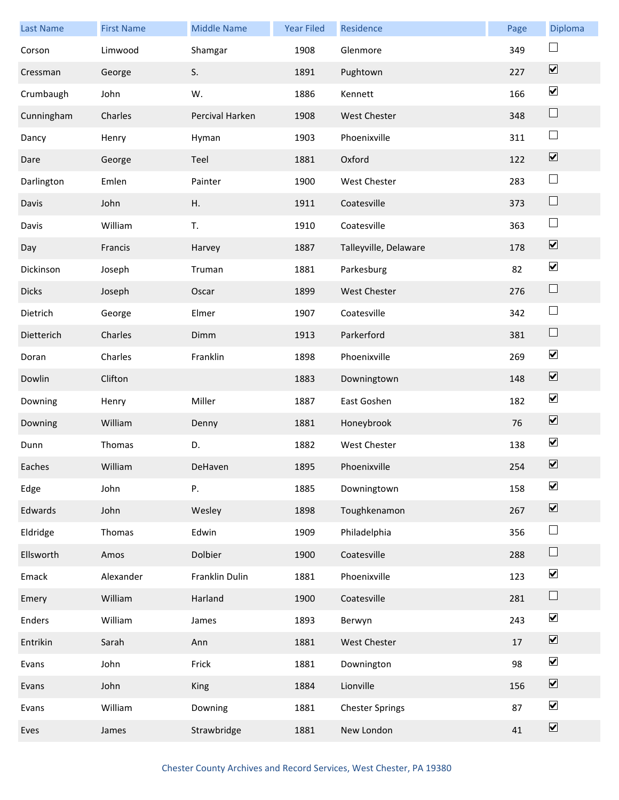| <b>Last Name</b> | <b>First Name</b> | <b>Middle Name</b> | <b>Year Filed</b> | Residence              | Page | Diploma                      |
|------------------|-------------------|--------------------|-------------------|------------------------|------|------------------------------|
| Corson           | Limwood           | Shamgar            | 1908              | Glenmore               | 349  | $\Box$                       |
| Cressman         | George            | S.                 | 1891              | Pughtown               | 227  | $\overline{\mathbf{v}}$      |
| Crumbaugh        | John              | W.                 | 1886              | Kennett                | 166  | $\blacktriangledown$         |
| Cunningham       | Charles           | Percival Harken    | 1908              | <b>West Chester</b>    | 348  | $\sqcup$                     |
| Dancy            | Henry             | Hyman              | 1903              | Phoenixville           | 311  | $\Box$                       |
| Dare             | George            | Teel               | 1881              | Oxford                 | 122  | $\overline{\mathbf{v}}$      |
| Darlington       | Emlen             | Painter            | 1900              | <b>West Chester</b>    | 283  | $\Box$                       |
| Davis            | John              | Η.                 | 1911              | Coatesville            | 373  | $\Box$                       |
| Davis            | William           | T.                 | 1910              | Coatesville            | 363  | $\Box$                       |
| Day              | Francis           | Harvey             | 1887              | Talleyville, Delaware  | 178  | $\boxed{\blacktriangledown}$ |
| Dickinson        | Joseph            | Truman             | 1881              | Parkesburg             | 82   | $\blacktriangledown$         |
| <b>Dicks</b>     | Joseph            | Oscar              | 1899              | <b>West Chester</b>    | 276  | $\Box$                       |
| Dietrich         | George            | Elmer              | 1907              | Coatesville            | 342  | $\Box$                       |
| Dietterich       | Charles           | Dimm               | 1913              | Parkerford             | 381  | $\Box$                       |
| Doran            | Charles           | Franklin           | 1898              | Phoenixville           | 269  | $\blacktriangledown$         |
| Dowlin           | Clifton           |                    | 1883              | Downingtown            | 148  | $\overline{\mathbf{v}}$      |
| Downing          | Henry             | Miller             | 1887              | East Goshen            | 182  | $\blacktriangledown$         |
| Downing          | William           | Denny              | 1881              | Honeybrook             | 76   | $\boxed{\blacktriangledown}$ |
| Dunn             | Thomas            | D.                 | 1882              | West Chester           | 138  | $\blacktriangledown$         |
| Eaches           | William           | DeHaven            | 1895              | Phoenixville           | 254  | $\boxed{\blacktriangledown}$ |
| Edge             | John              | Ρ.                 | 1885              | Downingtown            | 158  | $\boxed{\blacktriangledown}$ |
| Edwards          | John              | Wesley             | 1898              | Toughkenamon           | 267  | $\boxed{\blacktriangledown}$ |
| Eldridge         | Thomas            | Edwin              | 1909              | Philadelphia           | 356  | $\Box$                       |
| Ellsworth        | Amos              | Dolbier            | 1900              | Coatesville            | 288  | $\Box$                       |
| Emack            | Alexander         | Franklin Dulin     | 1881              | Phoenixville           | 123  | $\blacktriangledown$         |
| Emery            | William           | Harland            | 1900              | Coatesville            | 281  | $\Box$                       |
| Enders           | William           | James              | 1893              | Berwyn                 | 243  | $\blacktriangledown$         |
| Entrikin         | Sarah             | Ann                | 1881              | <b>West Chester</b>    | 17   | $\overline{\mathbf{v}}$      |
| Evans            | John              | Frick              | 1881              | Downington             | 98   | $\blacktriangledown$         |
| Evans            | John              | King               | 1884              | Lionville              | 156  | $\boxed{\blacktriangledown}$ |
| Evans            | William           | Downing            | 1881              | <b>Chester Springs</b> | 87   | $\blacktriangledown$         |
| Eves             | James             | Strawbridge        | 1881              | New London             | 41   | $\boxed{\blacktriangledown}$ |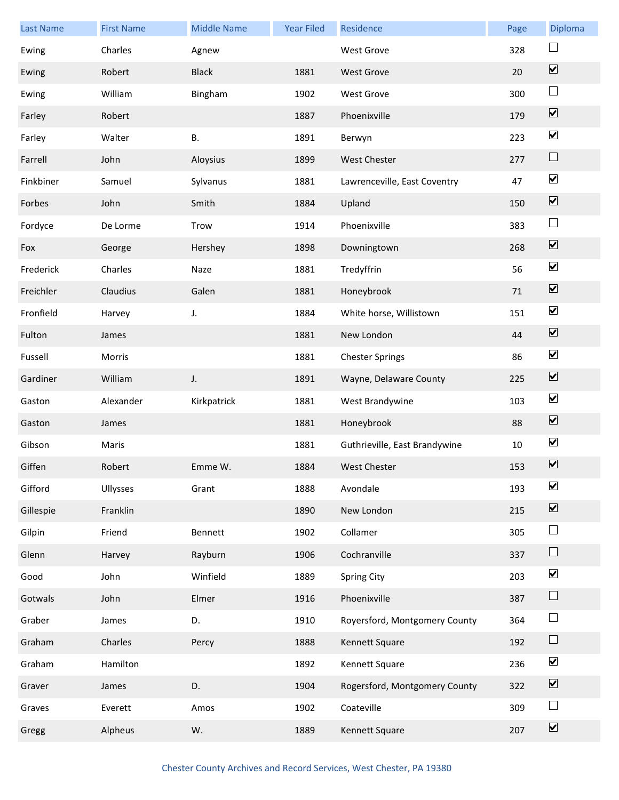| <b>Last Name</b> | <b>First Name</b> | <b>Middle Name</b> | <b>Year Filed</b> | Residence                     | Page   | Diploma                      |
|------------------|-------------------|--------------------|-------------------|-------------------------------|--------|------------------------------|
| Ewing            | Charles           | Agnew              |                   | <b>West Grove</b>             | 328    | $\Box$                       |
| Ewing            | Robert            | <b>Black</b>       | 1881              | <b>West Grove</b>             | 20     | $\overline{\mathbf{v}}$      |
| Ewing            | William           | Bingham            | 1902              | <b>West Grove</b>             | 300    | $\Box$                       |
| Farley           | Robert            |                    | 1887              | Phoenixville                  | 179    | $\boxed{\blacktriangledown}$ |
| Farley           | Walter            | <b>B.</b>          | 1891              | Berwyn                        | 223    | $\blacktriangledown$         |
| Farrell          | John              | Aloysius           | 1899              | <b>West Chester</b>           | 277    | $\Box$                       |
| Finkbiner        | Samuel            | Sylvanus           | 1881              | Lawrenceville, East Coventry  | 47     | $\blacktriangledown$         |
| Forbes           | John              | Smith              | 1884              | Upland                        | 150    | $\boxed{\blacktriangledown}$ |
| Fordyce          | De Lorme          | Trow               | 1914              | Phoenixville                  | 383    | $\Box$                       |
| Fox              | George            | Hershey            | 1898              | Downingtown                   | 268    | $\boxed{\blacktriangledown}$ |
| Frederick        | Charles           | Naze               | 1881              | Tredyffrin                    | 56     | $\blacktriangledown$         |
| Freichler        | Claudius          | Galen              | 1881              | Honeybrook                    | $71\,$ | $\boxed{\blacktriangledown}$ |
| Fronfield        | Harvey            | J.                 | 1884              | White horse, Willistown       | 151    | $\blacktriangledown$         |
| Fulton           | James             |                    | 1881              | New London                    | 44     | $\boxed{\blacktriangledown}$ |
| Fussell          | Morris            |                    | 1881              | <b>Chester Springs</b>        | 86     | $\blacktriangledown$         |
| Gardiner         | William           | J.                 | 1891              | Wayne, Delaware County        | 225    | $\overline{\mathbf{v}}$      |
| Gaston           | Alexander         | Kirkpatrick        | 1881              | West Brandywine               | 103    | $\blacktriangledown$         |
| Gaston           | James             |                    | 1881              | Honeybrook                    | 88     | $\boxed{\blacktriangledown}$ |
| Gibson           | Maris             |                    | 1881              | Guthrieville, East Brandywine | $10\,$ | $\blacktriangledown$         |
| Giffen           | Robert            | Emme W.            | 1884              | <b>West Chester</b>           | 153    | $\boxed{\blacktriangledown}$ |
| Gifford          | Ullysses          | Grant              | 1888              | Avondale                      | 193    | $\blacktriangledown$         |
| Gillespie        | Franklin          |                    | 1890              | New London                    | 215    | $\boxed{\blacktriangledown}$ |
| Gilpin           | Friend            | Bennett            | 1902              | Collamer                      | 305    | $\Box$                       |
| Glenn            | Harvey            | Rayburn            | 1906              | Cochranville                  | 337    | $\Box$                       |
| Good             | John              | Winfield           | 1889              | Spring City                   | 203    | $\blacktriangledown$         |
| Gotwals          | John              | Elmer              | 1916              | Phoenixville                  | 387    | $\Box$                       |
| Graber           | James             | D.                 | 1910              | Royersford, Montgomery County | 364    | $\Box$                       |
| Graham           | Charles           | Percy              | 1888              | Kennett Square                | 192    | $\Box$                       |
| Graham           | Hamilton          |                    | 1892              | Kennett Square                | 236    | $\blacktriangledown$         |
| Graver           | James             | D.                 | 1904              | Rogersford, Montgomery County | 322    | $\boxed{\blacktriangledown}$ |
| Graves           | Everett           | Amos               | 1902              | Coateville                    | 309    | $\Box$                       |
| Gregg            | Alpheus           | W.                 | 1889              | Kennett Square                | 207    | $\boxed{\blacktriangledown}$ |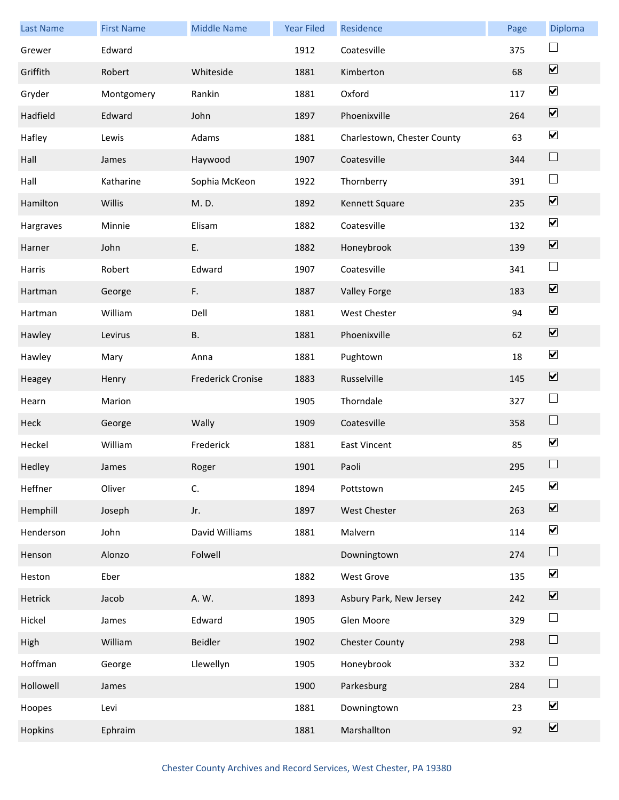| <b>Last Name</b> | <b>First Name</b> | <b>Middle Name</b>       | <b>Year Filed</b> | Residence                   | Page | Diploma                      |
|------------------|-------------------|--------------------------|-------------------|-----------------------------|------|------------------------------|
| Grewer           | Edward            |                          | 1912              | Coatesville                 | 375  | $\sqcup$                     |
| Griffith         | Robert            | Whiteside                | 1881              | Kimberton                   | 68   | $\overline{\mathbf{v}}$      |
| Gryder           | Montgomery        | Rankin                   | 1881              | Oxford                      | 117  | $\blacktriangledown$         |
| Hadfield         | Edward            | John                     | 1897              | Phoenixville                | 264  | $\overline{\mathbf{v}}$      |
| Hafley           | Lewis             | Adams                    | 1881              | Charlestown, Chester County | 63   | $\blacktriangledown$         |
| Hall             | James             | Haywood                  | 1907              | Coatesville                 | 344  | $\Box$                       |
| Hall             | Katharine         | Sophia McKeon            | 1922              | Thornberry                  | 391  | $\Box$                       |
| Hamilton         | Willis            | M.D.                     | 1892              | Kennett Square              | 235  | $\boxed{\blacktriangledown}$ |
| Hargraves        | Minnie            | Elisam                   | 1882              | Coatesville                 | 132  | $\blacktriangledown$         |
| Harner           | John              | Ε.                       | 1882              | Honeybrook                  | 139  | $\boxed{\blacktriangledown}$ |
| Harris           | Robert            | Edward                   | 1907              | Coatesville                 | 341  | $\Box$                       |
| Hartman          | George            | F.                       | 1887              | Valley Forge                | 183  | $\boxed{\blacktriangledown}$ |
| Hartman          | William           | Dell                     | 1881              | <b>West Chester</b>         | 94   | $\blacktriangledown$         |
| Hawley           | Levirus           | В.                       | 1881              | Phoenixville                | 62   | $\overline{\mathbf{v}}$      |
| Hawley           | Mary              | Anna                     | 1881              | Pughtown                    | 18   | $\blacktriangledown$         |
| Heagey           | Henry             | <b>Frederick Cronise</b> | 1883              | Russelville                 | 145  | $\overline{\mathbf{v}}$      |
| Hearn            | Marion            |                          | 1905              | Thorndale                   | 327  | $\Box$                       |
| Heck             | George            | Wally                    | 1909              | Coatesville                 | 358  | $\Box$                       |
| Heckel           | William           | Frederick                | 1881              | East Vincent                | 85   | $\blacktriangledown$         |
| Hedley           | James             | Roger                    | 1901              | Paoli                       | 295  |                              |
| Heffner          | Oliver            | C.                       | 1894              | Pottstown                   | 245  | $\blacktriangledown$         |
| Hemphill         | Joseph            | Jr.                      | 1897              | West Chester                | 263  | $\boxed{\blacktriangledown}$ |
| Henderson        | John              | David Williams           | 1881              | Malvern                     | 114  | $\overline{\mathbf{v}}$      |
| Henson           | Alonzo            | Folwell                  |                   | Downingtown                 | 274  | $\Box$                       |
| Heston           | Eber              |                          | 1882              | West Grove                  | 135  | $\blacktriangledown$         |
| Hetrick          | Jacob             | A. W.                    | 1893              | Asbury Park, New Jersey     | 242  | $\boxed{\blacktriangledown}$ |
| Hickel           | James             | Edward                   | 1905              | Glen Moore                  | 329  | $\Box$                       |
| High             | William           | <b>Beidler</b>           | 1902              | <b>Chester County</b>       | 298  | $\Box$                       |
| Hoffman          | George            | Llewellyn                | 1905              | Honeybrook                  | 332  | $\Box$                       |
| Hollowell        | James             |                          | 1900              | Parkesburg                  | 284  | $\Box$                       |
| Hoopes           | Levi              |                          | 1881              | Downingtown                 | 23   | $\blacktriangledown$         |
| Hopkins          | Ephraim           |                          | 1881              | Marshallton                 | 92   | $\boxed{\blacktriangledown}$ |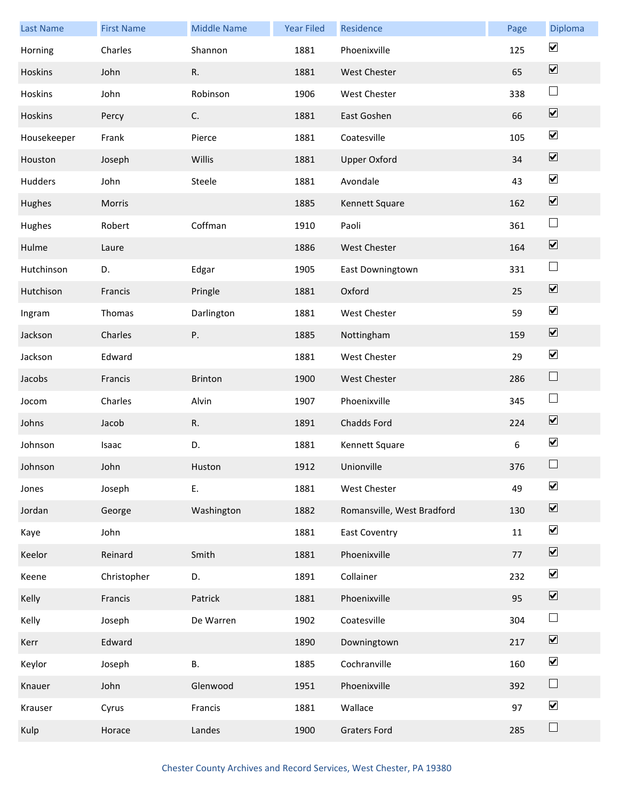| <b>Last Name</b> | <b>First Name</b> | <b>Middle Name</b> | <b>Year Filed</b> | Residence                  | Page | Diploma                      |
|------------------|-------------------|--------------------|-------------------|----------------------------|------|------------------------------|
| Horning          | Charles           | Shannon            | 1881              | Phoenixville               | 125  | $\blacktriangledown$         |
| Hoskins          | John              | R.                 | 1881              | West Chester               | 65   | $\overline{\mathbf{v}}$      |
| Hoskins          | John              | Robinson           | 1906              | West Chester               | 338  | $\Box$                       |
| Hoskins          | Percy             | C.                 | 1881              | East Goshen                | 66   | $\overline{\mathbf{v}}$      |
| Housekeeper      | Frank             | Pierce             | 1881              | Coatesville                | 105  | $\blacktriangledown$         |
| Houston          | Joseph            | Willis             | 1881              | <b>Upper Oxford</b>        | 34   | $\overline{\mathbf{v}}$      |
| Hudders          | John              | Steele             | 1881              | Avondale                   | 43   | $\blacktriangledown$         |
| Hughes           | Morris            |                    | 1885              | Kennett Square             | 162  | $\boxed{\blacktriangledown}$ |
| Hughes           | Robert            | Coffman            | 1910              | Paoli                      | 361  | $\Box$                       |
| Hulme            | Laure             |                    | 1886              | West Chester               | 164  | $\boxed{\blacktriangledown}$ |
| Hutchinson       | D.                | Edgar              | 1905              | East Downingtown           | 331  | $\Box$                       |
| Hutchison        | Francis           | Pringle            | 1881              | Oxford                     | 25   | $\overline{\mathbf{v}}$      |
| Ingram           | Thomas            | Darlington         | 1881              | West Chester               | 59   | $\blacktriangledown$         |
| Jackson          | Charles           | Ρ.                 | 1885              | Nottingham                 | 159  | $\overline{\mathbf{v}}$      |
| Jackson          | Edward            |                    | 1881              | West Chester               | 29   | $\blacktriangledown$         |
| Jacobs           | Francis           | <b>Brinton</b>     | 1900              | <b>West Chester</b>        | 286  | $\Box$                       |
| Jocom            | Charles           | Alvin              | 1907              | Phoenixville               | 345  | $\Box$                       |
| Johns            | Jacob             | R.                 | 1891              | Chadds Ford                | 224  | $\overline{\mathbf{v}}$      |
| Johnson          | Isaac             | D.                 | 1881              | Kennett Square             | 6    | $\blacktriangledown$         |
| Johnson          | John              | Huston             | 1912              | Unionville                 | 376  |                              |
| Jones            | Joseph            | Ε.                 | 1881              | West Chester               | 49   | $\blacktriangledown$         |
| Jordan           | George            | Washington         | 1882              | Romansville, West Bradford | 130  | $\boxed{\blacktriangledown}$ |
| Kaye             | John              |                    | 1881              | <b>East Coventry</b>       | 11   | $\blacktriangledown$         |
| Keelor           | Reinard           | Smith              | 1881              | Phoenixville               | 77   | $\boxed{\blacktriangledown}$ |
| Keene            | Christopher       | D.                 | 1891              | Collainer                  | 232  | $\blacktriangledown$         |
| Kelly            | Francis           | Patrick            | 1881              | Phoenixville               | 95   | $\overline{\mathbf{v}}$      |
| Kelly            | Joseph            | De Warren          | 1902              | Coatesville                | 304  | $\Box$                       |
| Kerr             | Edward            |                    | 1890              | Downingtown                | 217  | $\overline{\mathbf{v}}$      |
| Keylor           | Joseph            | В.                 | 1885              | Cochranville               | 160  | $\blacktriangledown$         |
| Knauer           | John              | Glenwood           | 1951              | Phoenixville               | 392  | $\Box$                       |
| Krauser          | Cyrus             | Francis            | 1881              | Wallace                    | 97   | $\blacktriangledown$         |
| Kulp             | Horace            | Landes             | 1900              | <b>Graters Ford</b>        | 285  | $\Box$                       |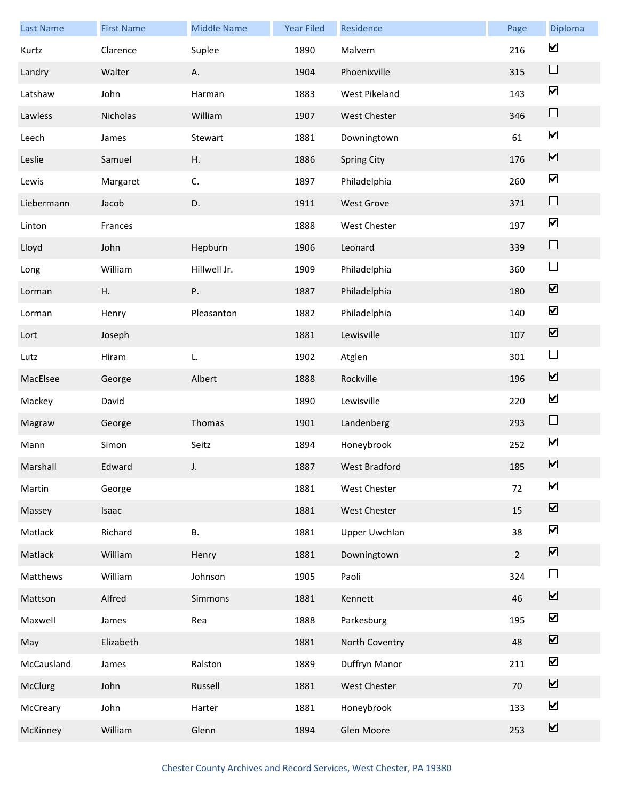| <b>Last Name</b> | <b>First Name</b> | <b>Middle Name</b> | <b>Year Filed</b> | Residence            | Page           | Diploma                      |
|------------------|-------------------|--------------------|-------------------|----------------------|----------------|------------------------------|
| Kurtz            | Clarence          | Suplee             | 1890              | Malvern              | 216            | $\blacktriangledown$         |
| Landry           | Walter            | Α.                 | 1904              | Phoenixville         | 315            | $\Box$                       |
| Latshaw          | John              | Harman             | 1883              | West Pikeland        | 143            | $\blacktriangledown$         |
| Lawless          | Nicholas          | William            | 1907              | West Chester         | 346            | $\sqcup$                     |
| Leech            | James             | Stewart            | 1881              | Downingtown          | 61             | $\blacktriangledown$         |
| Leslie           | Samuel            | Η.                 | 1886              | <b>Spring City</b>   | 176            | $\overline{\mathbf{v}}$      |
| Lewis            | Margaret          | C.                 | 1897              | Philadelphia         | 260            | $\blacktriangledown$         |
| Liebermann       | Jacob             | D.                 | 1911              | West Grove           | 371            | $\Box$                       |
| Linton           | Frances           |                    | 1888              | West Chester         | 197            | $\blacktriangledown$         |
| Lloyd            | John              | Hepburn            | 1906              | Leonard              | 339            | $\Box$                       |
| Long             | William           | Hillwell Jr.       | 1909              | Philadelphia         | 360            | $\Box$                       |
| Lorman           | Η.                | Ρ.                 | 1887              | Philadelphia         | 180            | $\overline{\mathbf{v}}$      |
| Lorman           | Henry             | Pleasanton         | 1882              | Philadelphia         | 140            | $\boxed{\blacktriangledown}$ |
| Lort             | Joseph            |                    | 1881              | Lewisville           | 107            | $\overline{\mathbf{v}}$      |
| Lutz             | Hiram             | L.                 | 1902              | Atglen               | 301            | $\overline{\phantom{a}}$     |
| MacElsee         | George            | Albert             | 1888              | Rockville            | 196            | $\overline{\mathbf{v}}$      |
| Mackey           | David             |                    | 1890              | Lewisville           | 220            | $\blacktriangledown$         |
| Magraw           | George            | Thomas             | 1901              | Landenberg           | 293            | $\Box$                       |
| Mann             | Simon             | Seitz              | 1894              | Honeybrook           | 252            | $\blacktriangledown$         |
| Marshall         | Edward            | J.                 | 1887              | <b>West Bradford</b> | 185            | $\boxed{\blacktriangledown}$ |
| Martin           | George            |                    | 1881              | West Chester         | 72             | $\blacktriangledown$         |
| Massey           | Isaac             |                    | 1881              | West Chester         | 15             | $\boxed{\blacktriangledown}$ |
| Matlack          | Richard           | В.                 | 1881              | <b>Upper Uwchlan</b> | 38             | $\blacktriangledown$         |
| Matlack          | William           | Henry              | 1881              | Downingtown          | $\overline{2}$ | $\boxed{\blacktriangledown}$ |
| Matthews         | William           | Johnson            | 1905              | Paoli                | 324            | $\Box$                       |
| Mattson          | Alfred            | Simmons            | 1881              | Kennett              | 46             | $\overline{\mathbf{v}}$      |
| Maxwell          | James             | Rea                | 1888              | Parkesburg           | 195            | $\blacktriangledown$         |
| May              | Elizabeth         |                    | 1881              | North Coventry       | 48             | $\overline{\mathbf{v}}$      |
| McCausland       | James             | Ralston            | 1889              | Duffryn Manor        | 211            | $\blacktriangledown$         |
| McClurg          | John              | Russell            | 1881              | West Chester         | 70             | $\boxed{\blacktriangledown}$ |
| McCreary         | John              | Harter             | 1881              | Honeybrook           | 133            | $\blacktriangledown$         |
| McKinney         | William           | Glenn              | 1894              | Glen Moore           | 253            | $\boxed{\blacktriangledown}$ |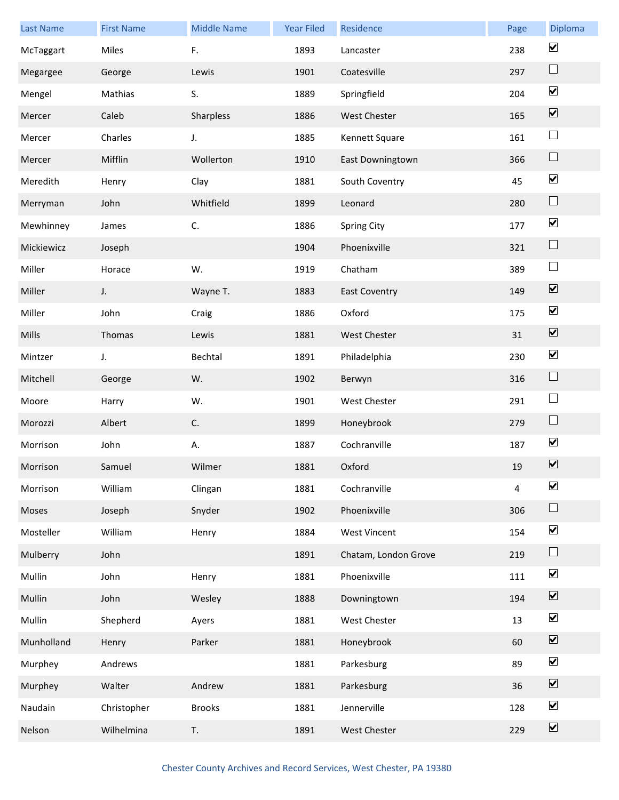| <b>Last Name</b> | <b>First Name</b> | <b>Middle Name</b> | <b>Year Filed</b> | Residence            | Page | Diploma                      |
|------------------|-------------------|--------------------|-------------------|----------------------|------|------------------------------|
| McTaggart        | Miles             | F.                 | 1893              | Lancaster            | 238  | $\blacktriangledown$         |
| Megargee         | George            | Lewis              | 1901              | Coatesville          | 297  | $\Box$                       |
| Mengel           | Mathias           | S.                 | 1889              | Springfield          | 204  | $\blacktriangledown$         |
| Mercer           | Caleb             | Sharpless          | 1886              | West Chester         | 165  | $\overline{\mathbf{v}}$      |
| Mercer           | Charles           | J.                 | 1885              | Kennett Square       | 161  | $\Box$                       |
| Mercer           | Mifflin           | Wollerton          | 1910              | East Downingtown     | 366  | $\Box$                       |
| Meredith         | Henry             | Clay               | 1881              | South Coventry       | 45   | $\blacktriangledown$         |
| Merryman         | John              | Whitfield          | 1899              | Leonard              | 280  | $\Box$                       |
| Mewhinney        | James             | C.                 | 1886              | <b>Spring City</b>   | 177  | $\blacktriangledown$         |
| Mickiewicz       | Joseph            |                    | 1904              | Phoenixville         | 321  | $\Box$                       |
| Miller           | Horace            | W.                 | 1919              | Chatham              | 389  | $\Box$                       |
| Miller           | J.                | Wayne T.           | 1883              | <b>East Coventry</b> | 149  | $\overline{\mathbf{v}}$      |
| Miller           | John              | Craig              | 1886              | Oxford               | 175  | $\blacktriangledown$         |
| Mills            | Thomas            | Lewis              | 1881              | West Chester         | 31   | $\overline{\mathbf{v}}$      |
| Mintzer          | J.                | Bechtal            | 1891              | Philadelphia         | 230  | $\blacktriangledown$         |
| Mitchell         | George            | W.                 | 1902              | Berwyn               | 316  | $\Box$                       |
| Moore            | Harry             | W.                 | 1901              | <b>West Chester</b>  | 291  | $\Box$                       |
| Morozzi          | Albert            | C.                 | 1899              | Honeybrook           | 279  | $\Box$                       |
| Morrison         | John              | Α.                 | 1887              | Cochranville         | 187  | $\blacktriangledown$         |
| Morrison         | Samuel            | Wilmer             | 1881              | Oxford               | 19   | $\boxed{\blacktriangledown}$ |
| Morrison         | William           | Clingan            | 1881              | Cochranville         | 4    | $\blacktriangledown$         |
| Moses            | Joseph            | Snyder             | 1902              | Phoenixville         | 306  | $\Box$                       |
| Mosteller        | William           | Henry              | 1884              | <b>West Vincent</b>  | 154  | $\blacktriangledown$         |
| Mulberry         | John              |                    | 1891              | Chatam, London Grove | 219  | $\Box$                       |
| Mullin           | John              | Henry              | 1881              | Phoenixville         | 111  | $\blacktriangledown$         |
| Mullin           | John              | Wesley             | 1888              | Downingtown          | 194  | $\overline{\mathbf{v}}$      |
| Mullin           | Shepherd          | Ayers              | 1881              | West Chester         | 13   | $\blacktriangledown$         |
| Munholland       | Henry             | Parker             | 1881              | Honeybrook           | 60   | $\boxed{\blacktriangledown}$ |
| Murphey          | Andrews           |                    | 1881              | Parkesburg           | 89   | $\blacktriangledown$         |
| Murphey          | Walter            | Andrew             | 1881              | Parkesburg           | 36   | $\boxed{\blacktriangledown}$ |
| Naudain          | Christopher       | <b>Brooks</b>      | 1881              | Jennerville          | 128  | $\blacktriangledown$         |
| Nelson           | Wilhelmina        | T.                 | 1891              | West Chester         | 229  | $\boxed{\blacktriangledown}$ |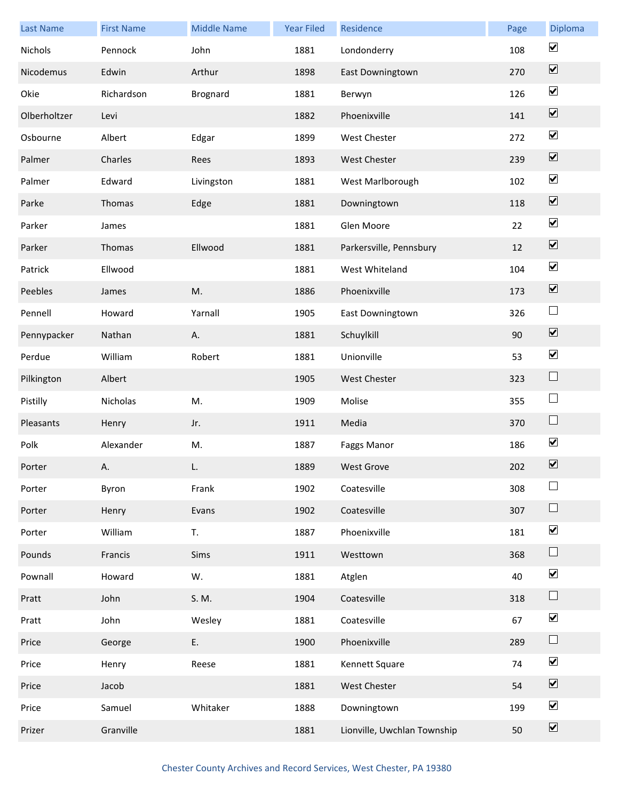| <b>Last Name</b> | <b>First Name</b> | <b>Middle Name</b> | <b>Year Filed</b> | Residence                   | Page | Diploma                      |
|------------------|-------------------|--------------------|-------------------|-----------------------------|------|------------------------------|
| <b>Nichols</b>   | Pennock           | John               | 1881              | Londonderry                 | 108  | $\blacktriangledown$         |
| Nicodemus        | Edwin             | Arthur             | 1898              | East Downingtown            | 270  | $\boxed{\blacktriangledown}$ |
| Okie             | Richardson        | <b>Brognard</b>    | 1881              | Berwyn                      | 126  | $\blacktriangledown$         |
| Olberholtzer     | Levi              |                    | 1882              | Phoenixville                | 141  | $\boxed{\blacktriangledown}$ |
| Osbourne         | Albert            | Edgar              | 1899              | West Chester                | 272  | $\blacktriangledown$         |
| Palmer           | Charles           | Rees               | 1893              | West Chester                | 239  | $\boxed{\blacktriangledown}$ |
| Palmer           | Edward            | Livingston         | 1881              | West Marlborough            | 102  | $\blacktriangledown$         |
| Parke            | Thomas            | Edge               | 1881              | Downingtown                 | 118  | $\boxed{\blacktriangledown}$ |
| Parker           | James             |                    | 1881              | Glen Moore                  | 22   | $\blacktriangledown$         |
| Parker           | Thomas            | Ellwood            | 1881              | Parkersville, Pennsbury     | 12   | $\boxed{\blacktriangledown}$ |
| Patrick          | Ellwood           |                    | 1881              | West Whiteland              | 104  | $\blacktriangledown$         |
| Peebles          | James             | M.                 | 1886              | Phoenixville                | 173  | $\boxed{\blacktriangledown}$ |
| Pennell          | Howard            | Yarnall            | 1905              | East Downingtown            | 326  | $\Box$                       |
| Pennypacker      | Nathan            | Α.                 | 1881              | Schuylkill                  | 90   | $\overline{\mathbf{v}}$      |
| Perdue           | William           | Robert             | 1881              | Unionville                  | 53   | $\blacktriangledown$         |
| Pilkington       | Albert            |                    | 1905              | West Chester                | 323  | $\Box$                       |
| Pistilly         | Nicholas          | M.                 | 1909              | Molise                      | 355  | $\Box$                       |
| Pleasants        | Henry             | Jr.                | 1911              | Media                       | 370  | $\Box$                       |
| Polk             | Alexander         | M.                 | 1887              | Faggs Manor                 | 186  | $\blacktriangledown$         |
| Porter           | Α.                | L.                 | 1889              | <b>West Grove</b>           | 202  | $\boxed{\blacktriangledown}$ |
| Porter           | Byron             | Frank              | 1902              | Coatesville                 | 308  | $\Box$                       |
| Porter           | Henry             | Evans              | 1902              | Coatesville                 | 307  | $\Box$                       |
| Porter           | William           | T.                 | 1887              | Phoenixville                | 181  | $\blacktriangledown$         |
| Pounds           | Francis           | Sims               | 1911              | Westtown                    | 368  | $\Box$                       |
| Pownall          | Howard            | W.                 | 1881              | Atglen                      | 40   | $\blacktriangledown$         |
| Pratt            | John              | S. M.              | 1904              | Coatesville                 | 318  | $\Box$                       |
| Pratt            | John              | Wesley             | 1881              | Coatesville                 | 67   | $\blacktriangledown$         |
| Price            | George            | E.                 | 1900              | Phoenixville                | 289  | $\Box$                       |
| Price            | Henry             | Reese              | 1881              | Kennett Square              | 74   | $\blacktriangledown$         |
| Price            | Jacob             |                    | 1881              | West Chester                | 54   | $\boxed{\blacktriangledown}$ |
| Price            | Samuel            | Whitaker           | 1888              | Downingtown                 | 199  | $\blacktriangledown$         |
| Prizer           | Granville         |                    | 1881              | Lionville, Uwchlan Township | 50   | $\boxed{\blacktriangledown}$ |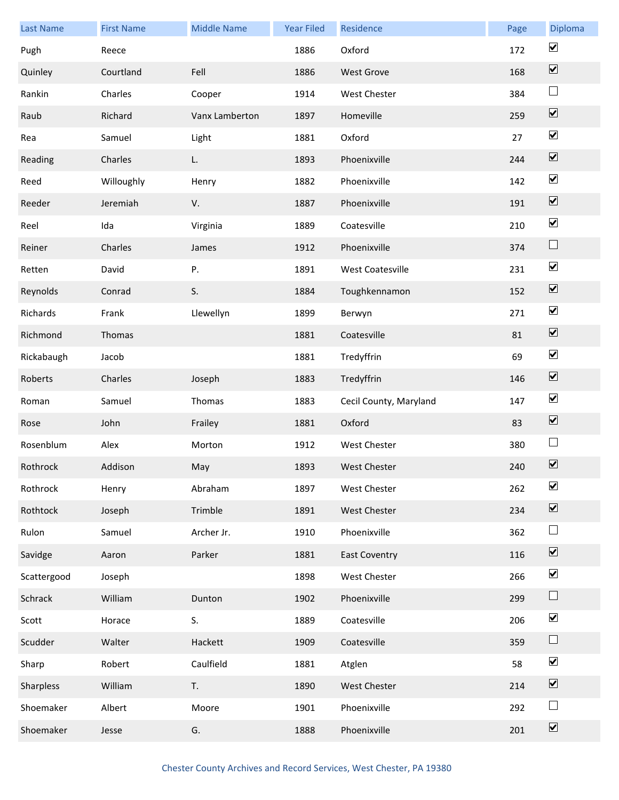| <b>Last Name</b> | <b>First Name</b> | <b>Middle Name</b> | <b>Year Filed</b> | Residence               | Page | Diploma                      |
|------------------|-------------------|--------------------|-------------------|-------------------------|------|------------------------------|
| Pugh             | Reece             |                    | 1886              | Oxford                  | 172  | $\blacktriangledown$         |
| Quinley          | Courtland         | Fell               | 1886              | <b>West Grove</b>       | 168  | $\boxed{\blacktriangledown}$ |
| Rankin           | Charles           | Cooper             | 1914              | West Chester            | 384  | $\Box$                       |
| Raub             | Richard           | Vanx Lamberton     | 1897              | Homeville               | 259  | $\boxed{\blacktriangledown}$ |
| Rea              | Samuel            | Light              | 1881              | Oxford                  | 27   | $\blacktriangledown$         |
| Reading          | Charles           | L.                 | 1893              | Phoenixville            | 244  | $\overline{\mathbf{v}}$      |
| Reed             | Willoughly        | Henry              | 1882              | Phoenixville            | 142  | $\blacktriangledown$         |
| Reeder           | Jeremiah          | V.                 | 1887              | Phoenixville            | 191  | $\boxed{\blacktriangledown}$ |
| Reel             | Ida               | Virginia           | 1889              | Coatesville             | 210  | $\blacktriangledown$         |
| Reiner           | Charles           | James              | 1912              | Phoenixville            | 374  | $\Box$                       |
| Retten           | David             | Ρ.                 | 1891              | <b>West Coatesville</b> | 231  | $\blacktriangledown$         |
| Reynolds         | Conrad            | S.                 | 1884              | Toughkennamon           | 152  | $\boxed{\blacktriangledown}$ |
| Richards         | Frank             | Llewellyn          | 1899              | Berwyn                  | 271  | $\blacktriangledown$         |
| Richmond         | Thomas            |                    | 1881              | Coatesville             | 81   | $\overline{\mathbf{v}}$      |
| Rickabaugh       | Jacob             |                    | 1881              | Tredyffrin              | 69   | $\blacktriangledown$         |
| Roberts          | Charles           | Joseph             | 1883              | Tredyffrin              | 146  | $\overline{\mathbf{v}}$      |
| Roman            | Samuel            | Thomas             | 1883              | Cecil County, Maryland  | 147  | $\blacktriangledown$         |
| Rose             | John              | Frailey            | 1881              | Oxford                  | 83   | $\boxed{\blacktriangledown}$ |
| Rosenblum        | Alex              | Morton             | 1912              | West Chester            | 380  | $\Box$                       |
| Rothrock         | Addison           | May                | 1893              | <b>West Chester</b>     | 240  | $\boxed{\blacktriangledown}$ |
| Rothrock         | Henry             | Abraham            | 1897              | <b>West Chester</b>     | 262  | $\blacktriangledown$         |
| Rothtock         | Joseph            | Trimble            | 1891              | West Chester            | 234  | $\boxed{\blacktriangledown}$ |
| Rulon            | Samuel            | Archer Jr.         | 1910              | Phoenixville            | 362  | $\Box$                       |
| Savidge          | Aaron             | Parker             | 1881              | <b>East Coventry</b>    | 116  | $\boxed{\mathbf{v}}$         |
| Scattergood      | Joseph            |                    | 1898              | West Chester            | 266  | $\blacktriangledown$         |
| Schrack          | William           | Dunton             | 1902              | Phoenixville            | 299  | $\Box$                       |
| Scott            | Horace            | S.                 | 1889              | Coatesville             | 206  | $\blacktriangledown$         |
| Scudder          | Walter            | Hackett            | 1909              | Coatesville             | 359  | $\Box$                       |
| Sharp            | Robert            | Caulfield          | 1881              | Atglen                  | 58   | $\blacktriangledown$         |
| Sharpless        | William           | T.                 | 1890              | <b>West Chester</b>     | 214  | $\boxed{\blacktriangledown}$ |
| Shoemaker        | Albert            | Moore              | 1901              | Phoenixville            | 292  | $\Box$                       |
| Shoemaker        | Jesse             | G.                 | 1888              | Phoenixville            | 201  | $\boxed{\blacktriangledown}$ |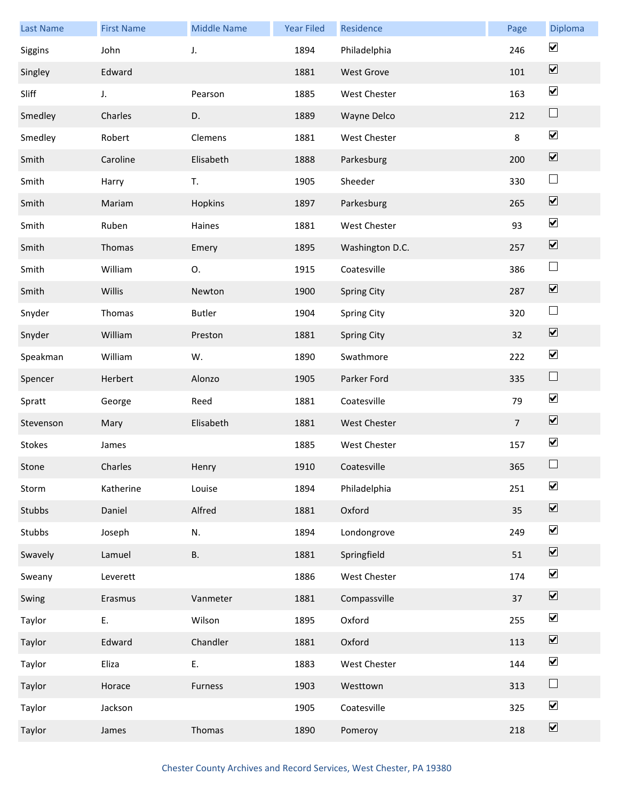| <b>Last Name</b> | <b>First Name</b> | <b>Middle Name</b> | <b>Year Filed</b> | Residence           | Page           | Diploma                      |
|------------------|-------------------|--------------------|-------------------|---------------------|----------------|------------------------------|
| Siggins          | John              | J.                 | 1894              | Philadelphia        | 246            | $\blacktriangledown$         |
| Singley          | Edward            |                    | 1881              | <b>West Grove</b>   | 101            | $\overline{\mathbf{v}}$      |
| Sliff            | J.                | Pearson            | 1885              | West Chester        | 163            | $\blacktriangledown$         |
| Smedley          | Charles           | D.                 | 1889              | Wayne Delco         | 212            | $\Box$                       |
| Smedley          | Robert            | Clemens            | 1881              | <b>West Chester</b> | 8              | $\blacktriangledown$         |
| Smith            | Caroline          | Elisabeth          | 1888              | Parkesburg          | 200            | $\overline{\mathbf{v}}$      |
| Smith            | Harry             | T.                 | 1905              | Sheeder             | 330            | $\Box$                       |
| Smith            | Mariam            | Hopkins            | 1897              | Parkesburg          | 265            | $\boxed{\blacktriangledown}$ |
| Smith            | Ruben             | Haines             | 1881              | West Chester        | 93             | $\blacktriangledown$         |
| Smith            | Thomas            | Emery              | 1895              | Washington D.C.     | 257            | $\boxed{\blacktriangledown}$ |
| Smith            | William           | О.                 | 1915              | Coatesville         | 386            | $\Box$                       |
| Smith            | Willis            | Newton             | 1900              | <b>Spring City</b>  | 287            | $\boxed{\blacktriangledown}$ |
| Snyder           | Thomas            | <b>Butler</b>      | 1904              | <b>Spring City</b>  | 320            | $\Box$                       |
| Snyder           | William           | Preston            | 1881              | <b>Spring City</b>  | 32             | $\overline{\mathbf{v}}$      |
| Speakman         | William           | W.                 | 1890              | Swathmore           | 222            | $\blacktriangledown$         |
| Spencer          | Herbert           | Alonzo             | 1905              | Parker Ford         | 335            | $\Box$                       |
| Spratt           | George            | Reed               | 1881              | Coatesville         | 79             | $\blacktriangledown$         |
| Stevenson        | Mary              | Elisabeth          | 1881              | <b>West Chester</b> | $\overline{7}$ | $\overline{\mathbf{v}}$      |
| Stokes           | James             |                    | 1885              | <b>West Chester</b> | 157            | $\blacktriangledown$         |
| Stone            | Charles           | Henry              | 1910              | Coatesville         | 365            | $\Box$                       |
| Storm            | Katherine         | Louise             | 1894              | Philadelphia        | 251            | $\blacktriangledown$         |
| Stubbs           | Daniel            | Alfred             | 1881              | Oxford              | 35             | $\boxed{\blacktriangledown}$ |
| Stubbs           | Joseph            | N.                 | 1894              | Londongrove         | 249            | $\blacktriangledown$         |
| Swavely          | Lamuel            | <b>B.</b>          | 1881              | Springfield         | 51             | $\boxed{\blacktriangledown}$ |
| Sweany           | Leverett          |                    | 1886              | West Chester        | 174            | $\blacktriangledown$         |
| Swing            | Erasmus           | Vanmeter           | 1881              | Compassville        | 37             | $\overline{\mathbf{v}}$      |
| Taylor           | E.                | Wilson             | 1895              | Oxford              | 255            | $\blacktriangledown$         |
| Taylor           | Edward            | Chandler           | 1881              | Oxford              | 113            | $\boxed{\blacktriangledown}$ |
| Taylor           | Eliza             | E.                 | 1883              | West Chester        | 144            | $\blacktriangledown$         |
| Taylor           | Horace            | Furness            | 1903              | Westtown            | 313            | $\Box$                       |
| Taylor           | Jackson           |                    | 1905              | Coatesville         | 325            | $\blacktriangledown$         |
| Taylor           | James             | Thomas             | 1890              | Pomeroy             | 218            | $\boxed{\blacktriangledown}$ |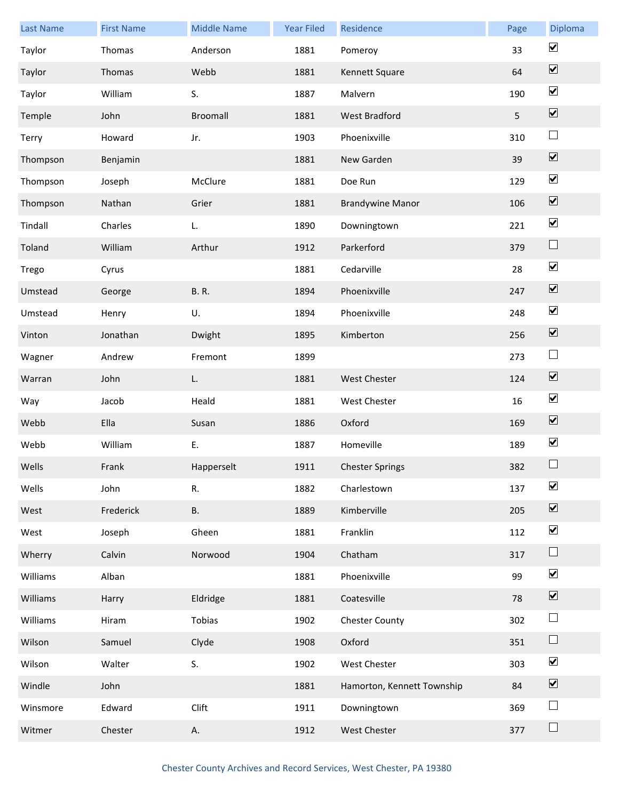| <b>Last Name</b> | <b>First Name</b> | <b>Middle Name</b> | <b>Year Filed</b> | Residence                  | Page | Diploma                      |
|------------------|-------------------|--------------------|-------------------|----------------------------|------|------------------------------|
| Taylor           | Thomas            | Anderson           | 1881              | Pomeroy                    | 33   | $\blacktriangledown$         |
| Taylor           | Thomas            | Webb               | 1881              | Kennett Square             | 64   | $\overline{\mathbf{v}}$      |
| Taylor           | William           | S.                 | 1887              | Malvern                    | 190  | $\blacktriangledown$         |
| Temple           | John              | <b>Broomall</b>    | 1881              | West Bradford              | 5    | $\boxed{\blacktriangledown}$ |
| Terry            | Howard            | Jr.                | 1903              | Phoenixville               | 310  | $\Box$                       |
| Thompson         | Benjamin          |                    | 1881              | New Garden                 | 39   | $\overline{\mathbf{v}}$      |
| Thompson         | Joseph            | McClure            | 1881              | Doe Run                    | 129  | $\blacktriangledown$         |
| Thompson         | Nathan            | Grier              | 1881              | <b>Brandywine Manor</b>    | 106  | $\boxed{\blacktriangledown}$ |
| Tindall          | Charles           | L.                 | 1890              | Downingtown                | 221  | $\blacktriangledown$         |
| Toland           | William           | Arthur             | 1912              | Parkerford                 | 379  | $\Box$                       |
| Trego            | Cyrus             |                    | 1881              | Cedarville                 | 28   | $\blacktriangledown$         |
| Umstead          | George            | <b>B.</b> R.       | 1894              | Phoenixville               | 247  | $\boxed{\blacktriangledown}$ |
| Umstead          | Henry             | U.                 | 1894              | Phoenixville               | 248  | $\blacktriangledown$         |
| Vinton           | Jonathan          | Dwight             | 1895              | Kimberton                  | 256  | $\overline{\mathbf{v}}$      |
| Wagner           | Andrew            | Fremont            | 1899              |                            | 273  | $\Box$                       |
| Warran           | John              | L.                 | 1881              | West Chester               | 124  | $\overline{\mathbf{v}}$      |
| Way              | Jacob             | Heald              | 1881              | <b>West Chester</b>        | 16   | $\blacktriangledown$         |
| Webb             | Ella              | Susan              | 1886              | Oxford                     | 169  | $\boxed{\blacktriangledown}$ |
| Webb             | William           | Ε.                 | 1887              | Homeville                  | 189  | $\blacktriangledown$         |
| Wells            | Frank             | Happerselt         | 1911              | <b>Chester Springs</b>     | 382  |                              |
| Wells            | John              | R.                 | 1882              | Charlestown                | 137  | $\blacktriangledown$         |
| West             | Frederick         | В.                 | 1889              | Kimberville                | 205  | $\boxed{\blacktriangledown}$ |
| West             | Joseph            | Gheen              | 1881              | Franklin                   | 112  | $\overline{\mathbf{v}}$      |
| Wherry           | Calvin            | Norwood            | 1904              | Chatham                    | 317  | $\Box$                       |
| Williams         | Alban             |                    | 1881              | Phoenixville               | 99   | $\blacktriangledown$         |
| Williams         | Harry             | Eldridge           | 1881              | Coatesville                | 78   | $\overline{\mathbf{v}}$      |
| Williams         | Hiram             | Tobias             | 1902              | <b>Chester County</b>      | 302  | $\Box$                       |
| Wilson           | Samuel            | Clyde              | 1908              | Oxford                     | 351  | $\Box$                       |
| Wilson           | Walter            | S.                 | 1902              | West Chester               | 303  | $\blacktriangledown$         |
| Windle           | John              |                    | 1881              | Hamorton, Kennett Township | 84   | $\boxed{\blacktriangledown}$ |
| Winsmore         | Edward            | Clift              | 1911              | Downingtown                | 369  | $\Box$                       |
| Witmer           | Chester           | Α.                 | 1912              | West Chester               | 377  | $\Box$                       |